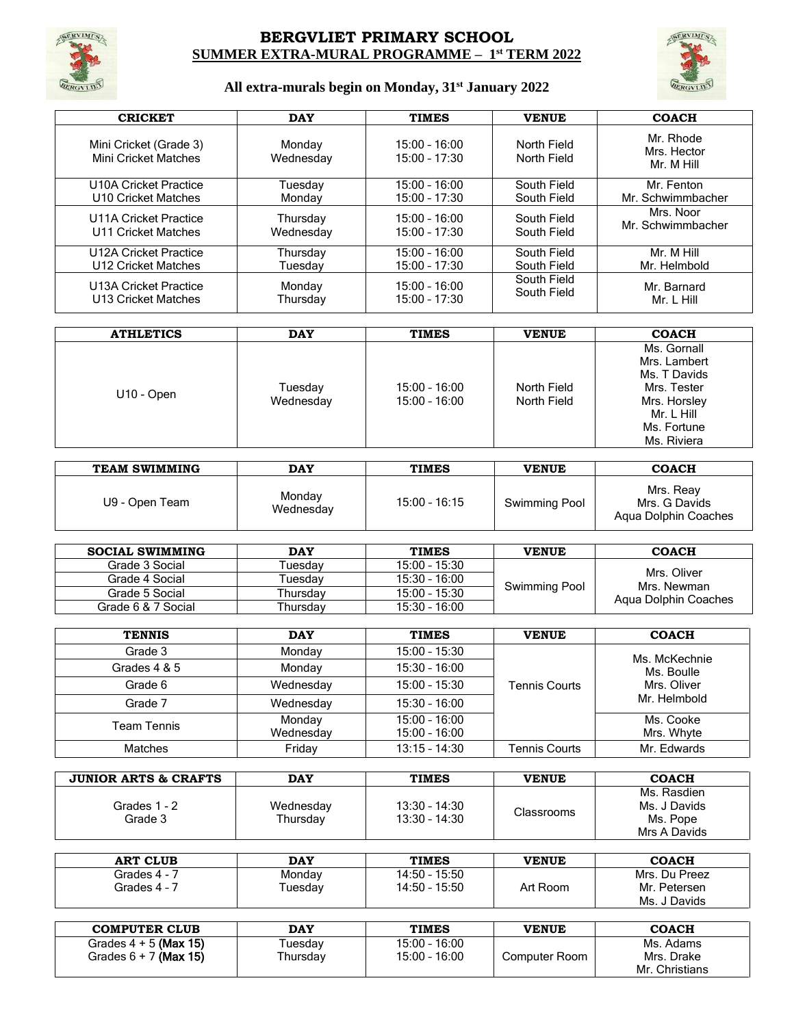

## **BERGVLIET PRIMARY SCHOOL SUMMER EXTRA-MURAL PROGRAMME – 1 st TERM 2022**



# **All extra-murals begin on Monday, 31st January 2022**

| <b>CRICKET</b>                                        | <b>DAY</b>          | <b>TIMES</b>                       | <b>VENUE</b>               | <b>COACH</b>                           |
|-------------------------------------------------------|---------------------|------------------------------------|----------------------------|----------------------------------------|
| Mini Cricket (Grade 3)<br><b>Mini Cricket Matches</b> | Monday<br>Wednesday | $15:00 - 16:00$<br>$15:00 - 17:30$ | North Field<br>North Field | Mr. Rhode<br>Mrs. Hector<br>Mr. M Hill |
| U10A Cricket Practice                                 | Tuesday             | $15:00 - 16:00$                    | South Field                | Mr. Fenton                             |
| U10 Cricket Matches                                   | Monday              | $15:00 - 17:30$                    | South Field                | Mr. Schwimmbacher                      |
| U11A Cricket Practice                                 | Thursday            | $15:00 - 16:00$                    | South Field                | Mrs. Noor                              |
| U11 Cricket Matches                                   | Wednesday           | $15:00 - 17:30$                    | South Field                | Mr. Schwimmbacher                      |
| U12A Cricket Practice                                 | Thursday            | $15:00 - 16:00$                    | South Field                | Mr. M Hill                             |
| U12 Cricket Matches                                   | Tuesdav             | $15:00 - 17:30$                    | South Field                | Mr. Helmbold                           |
| U13A Cricket Practice                                 | Monday              | $15:00 - 16:00$                    | South Field                | Mr. Barnard                            |
| U13 Cricket Matches                                   | Thursday            | $15:00 - 17:30$                    | South Field                | Mr. L Hill                             |

| <b>ATHLETICS</b> | <b>DAY</b>           | <b>TIMES</b>                       | <b>VENUE</b>               | <b>COACH</b>                                                                                                           |
|------------------|----------------------|------------------------------------|----------------------------|------------------------------------------------------------------------------------------------------------------------|
| U10 - Open       | Tuesday<br>Wednesday | $15:00 - 16:00$<br>$15:00 - 16:00$ | North Field<br>North Field | Ms. Gornall<br>Mrs. Lambert<br>Ms. T Davids<br>Mrs. Tester<br>Mrs. Horsley<br>Mr. L Hill<br>Ms. Fortune<br>Ms. Riviera |

| TEAM SWIMMING  | <b>DAY</b>          | <b>TIMES</b>    | <b>VENUE</b>  | <b>COACH</b>                                       |
|----------------|---------------------|-----------------|---------------|----------------------------------------------------|
| U9 - Open Team | Monday<br>Wednesday | $15:00 - 16:15$ | Swimming Pool | Mrs. Reav<br>Mrs. G Davids<br>Agua Dolphin Coaches |

| <b>SOCIAL SWIMMING</b> | <b>DAY</b>          | <b>TIMES</b>    | <b>VENUE</b>  | <b>COACH</b>               |
|------------------------|---------------------|-----------------|---------------|----------------------------|
| Grade 3 Social         | uesdav              | $15:00 - 15:30$ |               |                            |
| Grade 4 Social         | <sup>-</sup> uesdav | $15:30 - 16:00$ |               | Mrs. Oliver<br>Mrs. Newman |
| Grade 5 Social         | Thursdav            | $15:00 - 15:30$ | Swimming Pool | Agua Dolphin Coaches       |
| Grade 6 & 7 Social     | Thursdav            | $15:30 - 16:00$ |               |                            |

| <b>TENNIS</b>  | <b>DAY</b>          | <b>TIMES</b>                       | <b>VENUE</b>         | <b>COACH</b>            |
|----------------|---------------------|------------------------------------|----------------------|-------------------------|
| Grade 3        | Monday              | $15:00 - 15:30$                    |                      | Ms. McKechnie           |
| Grades 4 & 5   | Monday              | $15:30 - 16:00$                    |                      | Ms. Boulle              |
| Grade 6        | Wednesday           | $15:00 - 15:30$                    | <b>Tennis Courts</b> | Mrs. Oliver             |
| Grade 7        | Wednesday           | $15:30 - 16:00$                    |                      | Mr. Helmbold            |
| Team Tennis    | Monday<br>Wednesday | $15:00 - 16:00$<br>$15:00 - 16:00$ |                      | Ms. Cooke<br>Mrs. Whyte |
| <b>Matches</b> | Friday              | $13:15 - 14:30$                    | <b>Tennis Courts</b> | Mr. Edwards             |

| <b>JUNIOR ARTS &amp; CRAFTS</b> | <b>DAY</b>            | <b>TIMES</b>                       | <b>VENUE</b> | <b>COACH</b>                                            |
|---------------------------------|-----------------------|------------------------------------|--------------|---------------------------------------------------------|
| Grades 1 - 2<br>Grade 3         | Wednesday<br>Thursday | $13:30 - 14:30$<br>$13:30 - 14:30$ | Classrooms   | Ms. Rasdien<br>Ms. J Davids<br>Ms. Pope<br>Mrs A Davids |

| <b>ART CLUB</b> | <b>DAY</b>     | <b>TIMES</b>  | VENUE    | <b>COACH</b>    |
|-----------------|----------------|---------------|----------|-----------------|
| Grades 4 - 7    | Monday         | 14:50 - 15:50 |          | Mrs. Du Preez   |
| Grades 4 - J    | <b>Tuesday</b> | 14:50 - 15:50 | Art Room | Mr. Petersen    |
|                 |                |               |          | Ms. J<br>Davids |

| <b>COMPUTER CLUB</b>    | <b>DAY</b> | <b>TIMES</b>    | <b>VENUE</b>  | <b>COACH</b>   |
|-------------------------|------------|-----------------|---------------|----------------|
| Grades $4 + 5$ (Max 15) | Tuesdav    | $15:00 - 16:00$ |               | Ms. Adams      |
| Grades $6 + 7$ (Max 15) | Thursday   | 15:00 - 16:00   | Computer Room | Mrs. Drake     |
|                         |            |                 |               | Mr. Christians |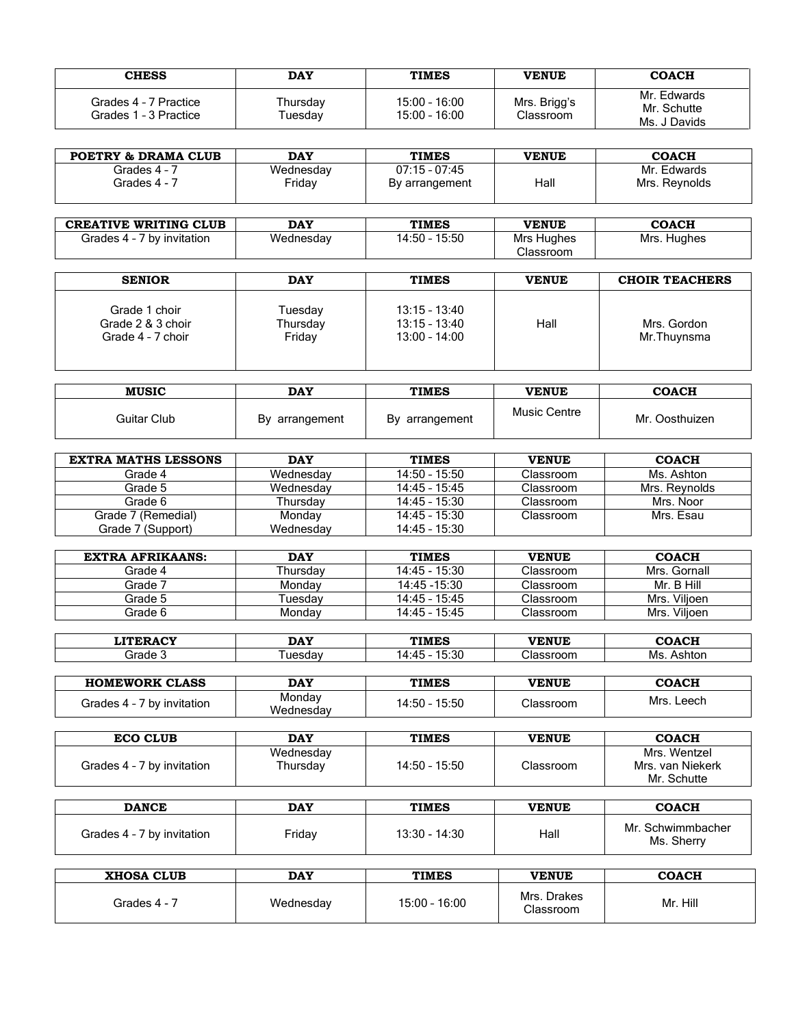| <b>CHESS</b>                                   | <b>DAY</b>          | <b>TIMES</b>                       | <b>VENUE</b>              | <b>COACH</b>                               |
|------------------------------------------------|---------------------|------------------------------------|---------------------------|--------------------------------------------|
| Grades 4 - 7 Practice<br>Grades 1 - 3 Practice | Thursday<br>Tuesdav | $15:00 - 16:00$<br>$15:00 - 16:00$ | Mrs. Brigg's<br>Classroom | Mr. Edwards<br>Mr. Schutte<br>Ms. J Davids |

| <b>POETRY &amp; DRAMA CLUB</b> | <b>DAY</b> | <b>TIMES</b>    | <b>VENUE</b> | <b>COACH</b>  |
|--------------------------------|------------|-----------------|--------------|---------------|
| Grades 4 - 7                   | Wednesday  | $07:15 - 07:45$ |              | Mr. Edwards   |
| Grades 4 - 7                   | Friday     | By arrangement  | Hall         | Mrs. Reynolds |

| <b>CREATIVE WRITING CLUB</b> | <b>DAY</b> | <b>TIMES</b>     | <b>VENUE</b>            | <b>COACH</b> |
|------------------------------|------------|------------------|-------------------------|--------------|
| by invitation<br>Grades 4 -  | Wednesday  | 15:50<br>14:50 - | Mrs Hughes<br>Classroom | Mrs. Hughes  |

| <b>SENIOR</b>                                           | <b>DAY</b>                    | <b>TIMES</b>                                          | <b>VENUE</b> | <b>CHOIR TEACHERS</b>      |
|---------------------------------------------------------|-------------------------------|-------------------------------------------------------|--------------|----------------------------|
| Grade 1 choir<br>Grade 2 & 3 choir<br>Grade 4 - 7 choir | Tuesday<br>Thursday<br>Friday | $13:15 - 13:40$<br>$13:15 - 13:40$<br>$13:00 - 14:00$ | Hall         | Mrs. Gordon<br>Mr.Thuynsma |

| <b>MUSIC</b> | <b>DAY</b>        | <b>TIMES</b>   | <b>VENUE</b> | <b>COACH</b>   |
|--------------|-------------------|----------------|--------------|----------------|
| Guitar Club  | B٧<br>arrangement | By arrangement | Music Centre | Mr. Oosthuizen |

| <b>EXTRA MATHS LESSONS</b> | <b>DAY</b> | <b>TIMES</b>    | <b>VENUE</b> | <b>COACH</b>  |
|----------------------------|------------|-----------------|--------------|---------------|
| Grade 4                    | Wednesdav  | $14:50 - 15:50$ | Classroom    | Ms. Ashton    |
| Grade 5                    | Wednesdav  | $14:45 - 15:45$ | Classroom    | Mrs. Revnolds |
| Grade 6                    | Thursdav   | $14:45 - 15:30$ | Classroom    | Mrs. Noor     |
| Grade 7 (Remedial)         | Monday     | $14:45 - 15:30$ | Classroom    | Mrs. Esau     |
| Grade 7 (Support)          | Wednesdav  | $14:45 - 15:30$ |              |               |

| <b>EXTRA AFRIKAANS:</b> | <b>DAY</b> | <b>TIMES</b>    | <b>VENUE</b> | <b>COACH</b> |
|-------------------------|------------|-----------------|--------------|--------------|
| Grade 4                 | Thursdav   | 14:45 - 15:30   | Classroom    | Mrs. Gornall |
| Grade 7                 | Mondav     | 14:45 - 15:30   | Classroom    | Mr. B Hill   |
| Grade 5                 | Tuesdav    | $14:45 - 15:45$ | Classroom    | Mrs. Vilioen |
| Grade 6                 | Mondav     | 14:45 - 15:45   | Classroom    | Mrs. Viljoen |

| <b>I IMBD A CV</b> | <b>DAY</b> | <b>TIMES</b>       | <b>VENUE</b> | CO 8 CU<br>ם אי |
|--------------------|------------|--------------------|--------------|-----------------|
| firade J           | uesdav     | 15:30<br><b>Tw</b> | ∵lassroom    | Ms<br>'\SNtOF   |

| <b>HOMEWORK CLASS</b> | <b>DAY</b> | <b>TIMES</b> | <b>VENUE</b> | <b>COACH</b> |
|-----------------------|------------|--------------|--------------|--------------|
| Grades 4 - 7          | Mondav     | 14:50 -      | Classroom    | Mrs.         |
| 7 by invitation       | Wednesday  | $-15:50$     |              | Leech        |

| <b>ECO CLUB</b>            | <b>DAY</b>            | <b>TIMES</b>  | <b>VENUE</b> | <b>COACH</b>                     |
|----------------------------|-----------------------|---------------|--------------|----------------------------------|
| Grades 4 - 7 by invitation | Wednesdav<br>Thursday | 14:50 - 15:50 | Classroom    | Mrs. Wentzel<br>Mrs. van Niekerk |
|                            |                       |               |              | Mr. Schutte                      |

| <b>DANCE</b>               | <b>DAY</b> | <b>TIMES</b>    | <b>VENUE</b> | <b>COACH</b>                    |
|----------------------------|------------|-----------------|--------------|---------------------------------|
| Grades 4 - 7 by invitation | Fridav     | $13:30 - 14:30$ | Hall         | Mr. Schwimmbacher<br>Ms. Sherry |

| <b>XHOSA CLUB</b> | <b>DAY</b> | <b>TIMES</b>  | <b>VENUE</b>             | <b>COACH</b> |
|-------------------|------------|---------------|--------------------------|--------------|
| Grades 4 -        | Wednesday  | 15:00 - 16:00 | Mrs. Drakes<br>Classroom | Mr. Hill     |